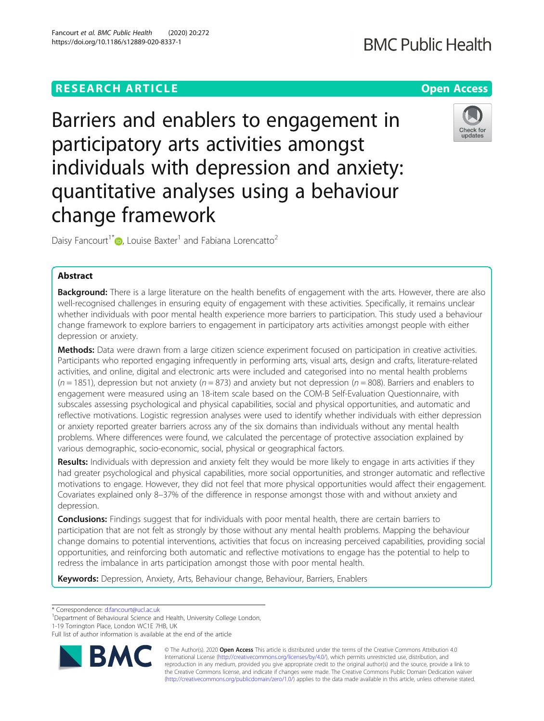# **RESEARCH ARTICLE Example 2014 12:30 The Contract of Contract ACCESS**

Barriers and enablers to engagement in participatory arts activities amongst individuals with depression and anxiety: quantitative analyses using a behaviour change framework

Daisy Fancourt<sup>1[\\*](http://orcid.org/0000-0002-6952-334X)</sup>  $\bullet$ , Louise Baxter<sup>1</sup> and Fabiana Lorencatto<sup>2</sup>

# Abstract

Background: There is a large literature on the health benefits of engagement with the arts. However, there are also well-recognised challenges in ensuring equity of engagement with these activities. Specifically, it remains unclear whether individuals with poor mental health experience more barriers to participation. This study used a behaviour change framework to explore barriers to engagement in participatory arts activities amongst people with either depression or anxiety.

Methods: Data were drawn from a large citizen science experiment focused on participation in creative activities. Participants who reported engaging infrequently in performing arts, visual arts, design and crafts, literature-related activities, and online, digital and electronic arts were included and categorised into no mental health problems  $(n = 1851)$ , depression but not anxiety  $(n = 873)$  and anxiety but not depression  $(n = 808)$ . Barriers and enablers to engagement were measured using an 18-item scale based on the COM-B Self-Evaluation Questionnaire, with subscales assessing psychological and physical capabilities, social and physical opportunities, and automatic and reflective motivations. Logistic regression analyses were used to identify whether individuals with either depression or anxiety reported greater barriers across any of the six domains than individuals without any mental health problems. Where differences were found, we calculated the percentage of protective association explained by various demographic, socio-economic, social, physical or geographical factors.

Results: Individuals with depression and anxiety felt they would be more likely to engage in arts activities if they had greater psychological and physical capabilities, more social opportunities, and stronger automatic and reflective motivations to engage. However, they did not feel that more physical opportunities would affect their engagement. Covariates explained only 8–37% of the difference in response amongst those with and without anxiety and depression.

**Conclusions:** Findings suggest that for individuals with poor mental health, there are certain barriers to participation that are not felt as strongly by those without any mental health problems. Mapping the behaviour change domains to potential interventions, activities that focus on increasing perceived capabilities, providing social opportunities, and reinforcing both automatic and reflective motivations to engage has the potential to help to redress the imbalance in arts participation amongst those with poor mental health.

Keywords: Depression, Anxiety, Arts, Behaviour change, Behaviour, Barriers, Enablers

<sup>1</sup>Department of Behavioural Science and Health, University College London,

1-19 Torrington Place, London WC1E 7HB, UK

© The Author(s). 2020 Open Access This article is distributed under the terms of the Creative Commons Attribution 4.0 International License [\(http://creativecommons.org/licenses/by/4.0/](http://creativecommons.org/licenses/by/4.0/)), which permits unrestricted use, distribution, and reproduction in any medium, provided you give appropriate credit to the original author(s) and the source, provide a link to the Creative Commons license, and indicate if changes were made. The Creative Commons Public Domain Dedication waiver [\(http://creativecommons.org/publicdomain/zero/1.0/](http://creativecommons.org/publicdomain/zero/1.0/)) applies to the data made available in this article, unless otherwise stated.

\* Correspondence: [d.fancourt@ucl.ac.uk](mailto:d.fancourt@ucl.ac.uk) <sup>1</sup>

Fancourt et al. BMC Public Health (2020) 20:272 https://doi.org/10.1186/s12889-020-8337-1





# **BMC Public Health**

Full list of author information is available at the end of the article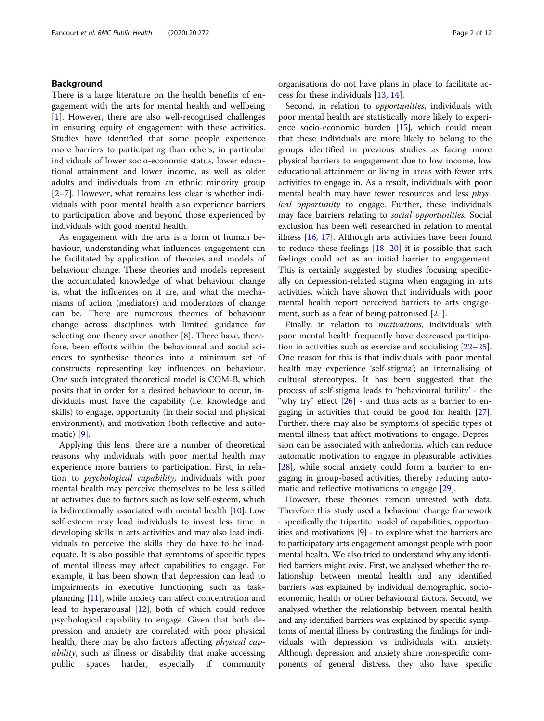# Background

There is a large literature on the health benefits of engagement with the arts for mental health and wellbeing [[1\]](#page-10-0). However, there are also well-recognised challenges in ensuring equity of engagement with these activities. Studies have identified that some people experience more barriers to participating than others, in particular individuals of lower socio-economic status, lower educational attainment and lower income, as well as older adults and individuals from an ethnic minority group [[2](#page-10-0)–[7\]](#page-11-0). However, what remains less clear is whether individuals with poor mental health also experience barriers to participation above and beyond those experienced by individuals with good mental health.

As engagement with the arts is a form of human behaviour, understanding what influences engagement can be facilitated by application of theories and models of behaviour change. These theories and models represent the accumulated knowledge of what behaviour change is, what the influences on it are, and what the mechanisms of action (mediators) and moderators of change can be. There are numerous theories of behaviour change across disciplines with limited guidance for selecting one theory over another  $[8]$  $[8]$ . There have, therefore, been efforts within the behavioural and social sciences to synthesise theories into a minimum set of constructs representing key influences on behaviour. One such integrated theoretical model is COM-B, which posits that in order for a desired behaviour to occur, individuals must have the capability (i.e. knowledge and skills) to engage, opportunity (in their social and physical environment), and motivation (both reflective and automatic) [[9\]](#page-11-0).

Applying this lens, there are a number of theoretical reasons why individuals with poor mental health may experience more barriers to participation. First, in relation to psychological capability, individuals with poor mental health may perceive themselves to be less skilled at activities due to factors such as low self-esteem, which is bidirectionally associated with mental health [[10\]](#page-11-0). Low self-esteem may lead individuals to invest less time in developing skills in arts activities and may also lead individuals to perceive the skills they do have to be inadequate. It is also possible that symptoms of specific types of mental illness may affect capabilities to engage. For example, it has been shown that depression can lead to impairments in executive functioning such as taskplanning [[11](#page-11-0)], while anxiety can affect concentration and lead to hyperarousal [[12\]](#page-11-0), both of which could reduce psychological capability to engage. Given that both depression and anxiety are correlated with poor physical health, there may be also factors affecting *physical cap*ability, such as illness or disability that make accessing public spaces harder, especially if community

organisations do not have plans in place to facilitate access for these individuals [[13,](#page-11-0) [14\]](#page-11-0).

Second, in relation to *opportunities*, individuals with poor mental health are statistically more likely to experience socio-economic burden [[15\]](#page-11-0), which could mean that these individuals are more likely to belong to the groups identified in previous studies as facing more physical barriers to engagement due to low income, low educational attainment or living in areas with fewer arts activities to engage in. As a result, individuals with poor mental health may have fewer resources and less physical opportunity to engage. Further, these individuals may face barriers relating to *social opportunities*. Social exclusion has been well researched in relation to mental illness [\[16](#page-11-0), [17\]](#page-11-0). Although arts activities have been found to reduce these feelings [[18](#page-11-0)–[20](#page-11-0)] it is possible that such feelings could act as an initial barrier to engagement. This is certainly suggested by studies focusing specifically on depression-related stigma when engaging in arts activities, which have shown that individuals with poor mental health report perceived barriers to arts engage-ment, such as a fear of being patronised [[21](#page-11-0)].

Finally, in relation to *motivations*, individuals with poor mental health frequently have decreased participation in activities such as exercise and socialising [[22](#page-11-0)–[25](#page-11-0)]. One reason for this is that individuals with poor mental health may experience 'self-stigma'; an internalising of cultural stereotypes. It has been suggested that the process of self-stigma leads to 'behavioural futility' - the "why try" effect  $[26]$  $[26]$  $[26]$  - and thus acts as a barrier to engaging in activities that could be good for health [\[27](#page-11-0)]. Further, there may also be symptoms of specific types of mental illness that affect motivations to engage. Depression can be associated with anhedonia, which can reduce automatic motivation to engage in pleasurable activities [[28\]](#page-11-0), while social anxiety could form a barrier to engaging in group-based activities, thereby reducing automatic and reflective motivations to engage [\[29](#page-11-0)].

However, these theories remain untested with data. Therefore this study used a behaviour change framework - specifically the tripartite model of capabilities, opportunities and motivations [\[9\]](#page-11-0) - to explore what the barriers are to participatory arts engagement amongst people with poor mental health. We also tried to understand why any identified barriers might exist. First, we analysed whether the relationship between mental health and any identified barriers was explained by individual demographic, socioeconomic, health or other behavioural factors. Second, we analysed whether the relationship between mental health and any identified barriers was explained by specific symptoms of mental illness by contrasting the findings for individuals with depression vs individuals with anxiety. Although depression and anxiety share non-specific components of general distress, they also have specific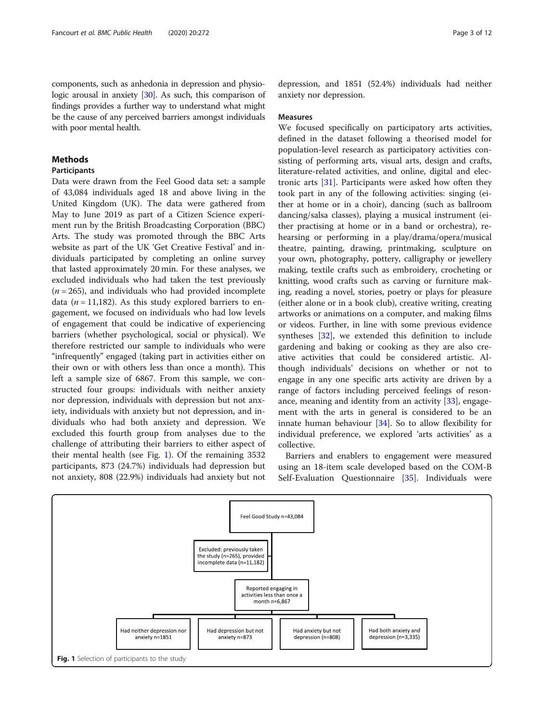components, such as anhedonia in depression and physiologic arousal in anxiety [[30](#page-11-0)]. As such, this comparison of findings provides a further way to understand what might be the cause of any perceived barriers amongst individuals with poor mental health.

# Methods

# **Participants**

Data were drawn from the Feel Good data set: a sample of 43,084 individuals aged 18 and above living in the United Kingdom (UK). The data were gathered from May to June 2019 as part of a Citizen Science experiment run by the British Broadcasting Corporation (BBC) Arts. The study was promoted through the BBC Arts website as part of the UK 'Get Creative Festival' and individuals participated by completing an online survey that lasted approximately 20 min. For these analyses, we excluded individuals who had taken the test previously  $(n = 265)$ , and individuals who had provided incomplete data ( $n = 11,182$ ). As this study explored barriers to engagement, we focused on individuals who had low levels of engagement that could be indicative of experiencing barriers (whether psychological, social or physical). We therefore restricted our sample to individuals who were "infrequently" engaged (taking part in activities either on their own or with others less than once a month). This left a sample size of 6867. From this sample, we constructed four groups: individuals with neither anxiety nor depression, individuals with depression but not anxiety, individuals with anxiety but not depression, and individuals who had both anxiety and depression. We excluded this fourth group from analyses due to the challenge of attributing their barriers to either aspect of their mental health (see Fig. 1). Of the remaining 3532 participants, 873 (24.7%) individuals had depression but not anxiety, 808 (22.9%) individuals had anxiety but not

depression, and 1851 (52.4%) individuals had neither anxiety nor depression.

#### Measures

We focused specifically on participatory arts activities, defined in the dataset following a theorised model for population-level research as participatory activities consisting of performing arts, visual arts, design and crafts, literature-related activities, and online, digital and electronic arts [[31\]](#page-11-0). Participants were asked how often they took part in any of the following activities: singing (either at home or in a choir), dancing (such as ballroom dancing/salsa classes), playing a musical instrument (either practising at home or in a band or orchestra), rehearsing or performing in a play/drama/opera/musical theatre, painting, drawing, printmaking, sculpture on your own, photography, pottery, calligraphy or jewellery making, textile crafts such as embroidery, crocheting or knitting, wood crafts such as carving or furniture making, reading a novel, stories, poetry or plays for pleasure (either alone or in a book club), creative writing, creating artworks or animations on a computer, and making films or videos. Further, in line with some previous evidence syntheses [[32](#page-11-0)], we extended this definition to include gardening and baking or cooking as they are also creative activities that could be considered artistic. Although individuals' decisions on whether or not to engage in any one specific arts activity are driven by a range of factors including perceived feelings of resonance, meaning and identity from an activity [[33\]](#page-11-0), engagement with the arts in general is considered to be an innate human behaviour [\[34](#page-11-0)]. So to allow flexibility for individual preference, we explored 'arts activities' as a collective.

Barriers and enablers to engagement were measured using an 18-item scale developed based on the COM-B Self-Evaluation Questionnaire [\[35](#page-11-0)]. Individuals were

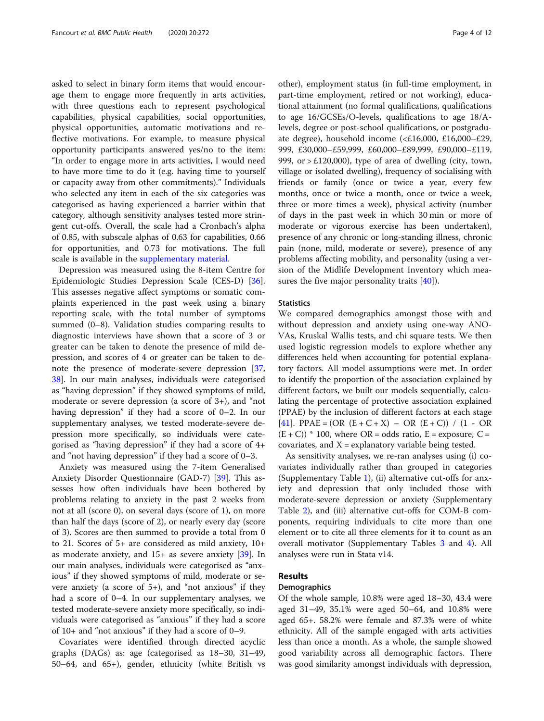asked to select in binary form items that would encourage them to engage more frequently in arts activities, with three questions each to represent psychological capabilities, physical capabilities, social opportunities, physical opportunities, automatic motivations and reflective motivations. For example, to measure physical opportunity participants answered yes/no to the item: "In order to engage more in arts activities, I would need to have more time to do it (e.g. having time to yourself or capacity away from other commitments)." Individuals who selected any item in each of the six categories was categorised as having experienced a barrier within that category, although sensitivity analyses tested more stringent cut-offs. Overall, the scale had a Cronbach's alpha of 0.85, with subscale alphas of 0.63 for capabilities, 0.66 for opportunities, and 0.73 for motivations. The full scale is available in the [supplementary material](#page-10-0).

Depression was measured using the 8-item Centre for Epidemiologic Studies Depression Scale (CES-D) [\[36](#page-11-0)]. This assesses negative affect symptoms or somatic complaints experienced in the past week using a binary reporting scale, with the total number of symptoms summed (0–8). Validation studies comparing results to diagnostic interviews have shown that a score of 3 or greater can be taken to denote the presence of mild depression, and scores of 4 or greater can be taken to denote the presence of moderate-severe depression [[37](#page-11-0), [38\]](#page-11-0). In our main analyses, individuals were categorised as "having depression" if they showed symptoms of mild, moderate or severe depression (a score of 3+), and "not having depression" if they had a score of 0–2. In our supplementary analyses, we tested moderate-severe depression more specifically, so individuals were categorised as "having depression" if they had a score of 4+ and "not having depression" if they had a score of 0–3.

Anxiety was measured using the 7-item Generalised Anxiety Disorder Questionnaire (GAD-7) [\[39](#page-11-0)]. This assesses how often individuals have been bothered by problems relating to anxiety in the past 2 weeks from not at all (score 0), on several days (score of 1), on more than half the days (score of 2), or nearly every day (score of 3). Scores are then summed to provide a total from 0 to 21. Scores of 5+ are considered as mild anxiety, 10+ as moderate anxiety, and  $15+$  as severe anxiety [[39\]](#page-11-0). In our main analyses, individuals were categorised as "anxious" if they showed symptoms of mild, moderate or severe anxiety (a score of 5+), and "not anxious" if they had a score of 0–4. In our supplementary analyses, we tested moderate-severe anxiety more specifically, so individuals were categorised as "anxious" if they had a score of 10+ and "not anxious" if they had a score of 0–9.

Covariates were identified through directed acyclic graphs (DAGs) as: age (categorised as 18–30, 31–49, 50–64, and 65+), gender, ethnicity (white British vs

other), employment status (in full-time employment, in part-time employment, retired or not working), educational attainment (no formal qualifications, qualifications to age 16/GCSEs/O-levels, qualifications to age 18/Alevels, degree or post-school qualifications, or postgraduate degree), household income (<£16,000, £16,000–£29, 999, £30,000–£59,999, £60,000–£89,999, £90,000–£119, 999, or  $> \pounds 120,000$ , type of area of dwelling (city, town, village or isolated dwelling), frequency of socialising with friends or family (once or twice a year, every few months, once or twice a month, once or twice a week, three or more times a week), physical activity (number of days in the past week in which 30 min or more of moderate or vigorous exercise has been undertaken), presence of any chronic or long-standing illness, chronic pain (none, mild, moderate or severe), presence of any problems affecting mobility, and personality (using a version of the Midlife Development Inventory which measures the five major personality traits  $[40]$  $[40]$ .

#### **Statistics**

We compared demographics amongst those with and without depression and anxiety using one-way ANO-VAs, Kruskal Wallis tests, and chi square tests. We then used logistic regression models to explore whether any differences held when accounting for potential explanatory factors. All model assumptions were met. In order to identify the proportion of the association explained by different factors, we built our models sequentially, calculating the percentage of protective association explained (PPAE) by the inclusion of different factors at each stage [[41\]](#page-11-0). PPAE =  $(OR (E + C + X) - OR (E + C)) / (1 - OR)$  $(E+C)$  \* 100, where OR = odds ratio, E = exposure, C = covariates, and  $X =$  explanatory variable being tested.

As sensitivity analyses, we re-ran analyses using (i) covariates individually rather than grouped in categories (Supplementary Table [1](#page-10-0)), (ii) alternative cut-offs for anxiety and depression that only included those with moderate-severe depression or anxiety (Supplementary Table [2\)](#page-10-0), and (iii) alternative cut-offs for COM-B components, requiring individuals to cite more than one element or to cite all three elements for it to count as an overall motivator (Supplementary Tables [3](#page-10-0) and [4](#page-10-0)). All analyses were run in Stata v14.

# Results

## **Demographics**

Of the whole sample, 10.8% were aged 18–30, 43.4 were aged 31–49, 35.1% were aged 50–64, and 10.8% were aged 65+. 58.2% were female and 87.3% were of white ethnicity. All of the sample engaged with arts activities less than once a month. As a whole, the sample showed good variability across all demographic factors. There was good similarity amongst individuals with depression,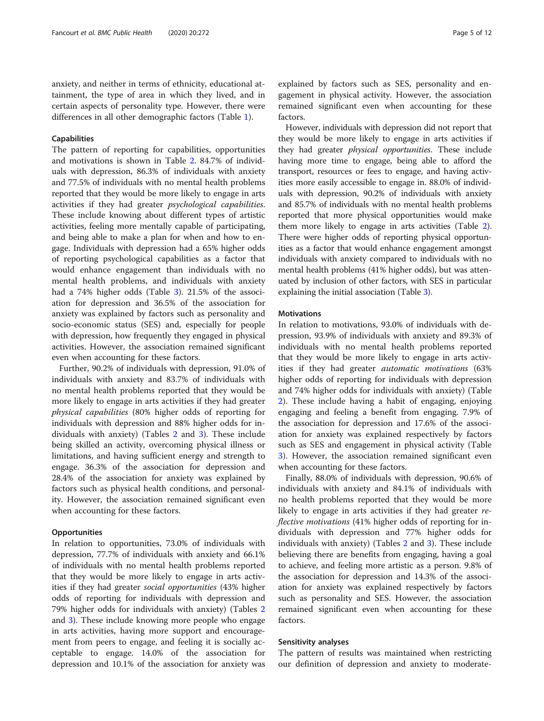anxiety, and neither in terms of ethnicity, educational attainment, the type of area in which they lived, and in certain aspects of personality type. However, there were differences in all other demographic factors (Table [1](#page-5-0)).

## Capabilities

The pattern of reporting for capabilities, opportunities and motivations is shown in Table [2.](#page-6-0) 84.7% of individuals with depression, 86.3% of individuals with anxiety and 77.5% of individuals with no mental health problems reported that they would be more likely to engage in arts activities if they had greater psychological capabilities. These include knowing about different types of artistic activities, feeling more mentally capable of participating, and being able to make a plan for when and how to engage. Individuals with depression had a 65% higher odds of reporting psychological capabilities as a factor that would enhance engagement than individuals with no mental health problems, and individuals with anxiety had a 74% higher odds (Table [3](#page-7-0)). 21.5% of the association for depression and 36.5% of the association for anxiety was explained by factors such as personality and socio-economic status (SES) and, especially for people with depression, how frequently they engaged in physical activities. However, the association remained significant even when accounting for these factors.

Further, 90.2% of individuals with depression, 91.0% of individuals with anxiety and 83.7% of individuals with no mental health problems reported that they would be more likely to engage in arts activities if they had greater physical capabilities (80% higher odds of reporting for individuals with depression and 88% higher odds for individuals with anxiety) (Tables [2](#page-6-0) and [3\)](#page-7-0). These include being skilled an activity, overcoming physical illness or limitations, and having sufficient energy and strength to engage. 36.3% of the association for depression and 28.4% of the association for anxiety was explained by factors such as physical health conditions, and personality. However, the association remained significant even when accounting for these factors.

## **Opportunities**

In relation to opportunities, 73.0% of individuals with depression, 77.7% of individuals with anxiety and 66.1% of individuals with no mental health problems reported that they would be more likely to engage in arts activities if they had greater social opportunities (43% higher odds of reporting for individuals with depression and 79% higher odds for individuals with anxiety) (Tables [2](#page-6-0) and [3\)](#page-7-0). These include knowing more people who engage in arts activities, having more support and encouragement from peers to engage, and feeling it is socially acceptable to engage. 14.0% of the association for depression and 10.1% of the association for anxiety was explained by factors such as SES, personality and engagement in physical activity. However, the association remained significant even when accounting for these factors.

However, individuals with depression did not report that they would be more likely to engage in arts activities if they had greater *physical opportunities*. These include having more time to engage, being able to afford the transport, resources or fees to engage, and having activities more easily accessible to engage in. 88.0% of individuals with depression, 90.2% of individuals with anxiety and 85.7% of individuals with no mental health problems reported that more physical opportunities would make them more likely to engage in arts activities (Table [2](#page-6-0)). There were higher odds of reporting physical opportunities as a factor that would enhance engagement amongst individuals with anxiety compared to individuals with no mental health problems (41% higher odds), but was attenuated by inclusion of other factors, with SES in particular explaining the initial association (Table [3](#page-7-0)).

#### **Motivations**

In relation to motivations, 93.0% of individuals with depression, 93.9% of individuals with anxiety and 89.3% of individuals with no mental health problems reported that they would be more likely to engage in arts activities if they had greater automatic motivations (63% higher odds of reporting for individuals with depression and 74% higher odds for individuals with anxiety) (Table [2\)](#page-6-0). These include having a habit of engaging, enjoying engaging and feeling a benefit from engaging. 7.9% of the association for depression and 17.6% of the association for anxiety was explained respectively by factors such as SES and engagement in physical activity (Table [3\)](#page-7-0). However, the association remained significant even when accounting for these factors.

Finally, 88.0% of individuals with depression, 90.6% of individuals with anxiety and 84.1% of individuals with no health problems reported that they would be more likely to engage in arts activities if they had greater reflective motivations (41% higher odds of reporting for individuals with depression and 77% higher odds for individuals with anxiety) (Tables [2](#page-6-0) and [3\)](#page-7-0). These include believing there are benefits from engaging, having a goal to achieve, and feeling more artistic as a person. 9.8% of the association for depression and 14.3% of the association for anxiety was explained respectively by factors such as personality and SES. However, the association remained significant even when accounting for these factors.

## Sensitivity analyses

The pattern of results was maintained when restricting our definition of depression and anxiety to moderate-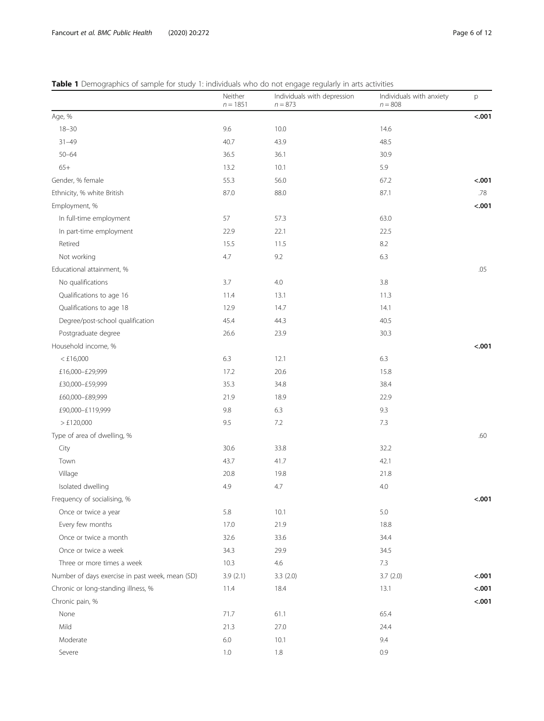# <span id="page-5-0"></span>Table 1 Demographics of sample for study 1: individuals who do not engage regularly in arts activities

|                                                 | Neither<br>$n = 1851$ | Individuals with depression<br>$n = 873$ | Individuals with anxiety<br>$n = 808$ | р      |
|-------------------------------------------------|-----------------------|------------------------------------------|---------------------------------------|--------|
| Age, %                                          |                       |                                          |                                       | < .001 |
| $18 - 30$                                       | 9.6                   | 10.0                                     | 14.6                                  |        |
| $31 - 49$                                       | 40.7                  | 43.9                                     | 48.5                                  |        |
| $50 - 64$                                       | 36.5                  | 36.1                                     | 30.9                                  |        |
| $65+$                                           | 13.2                  | 10.1                                     | 5.9                                   |        |
| Gender, % female                                | 55.3                  | 56.0                                     | 67.2                                  | < .001 |
| Ethnicity, % white British                      | 87.0                  | 88.0                                     | 87.1                                  | .78    |
| Employment, %                                   |                       |                                          |                                       | < .001 |
| In full-time employment                         | 57                    | 57.3                                     | 63.0                                  |        |
| In part-time employment                         | 22.9                  | 22.1                                     | 22.5                                  |        |
| Retired                                         | 15.5                  | 11.5                                     | 8.2                                   |        |
| Not working                                     | 4.7                   | 9.2                                      | 6.3                                   |        |
| Educational attainment, %                       |                       |                                          |                                       | .05    |
| No qualifications                               | 3.7                   | 4.0                                      | 3.8                                   |        |
| Qualifications to age 16                        | 11.4                  | 13.1                                     | 11.3                                  |        |
| Qualifications to age 18                        | 12.9                  | 14.7                                     | 14.1                                  |        |
| Degree/post-school qualification                | 45.4                  | 44.3                                     | 40.5                                  |        |
| Postgraduate degree                             | 26.6                  | 23.9                                     | 30.3                                  |        |
| Household income, %                             |                       |                                          |                                       | < .001 |
| $<$ £16,000                                     | 6.3                   | 12.1                                     | 6.3                                   |        |
| £16,000-£29,999                                 | 17.2                  | 20.6                                     | 15.8                                  |        |
| £30,000-£59,999                                 | 35.3                  | 34.8                                     | 38.4                                  |        |
| £60,000-£89,999                                 | 21.9                  | 18.9                                     | 22.9                                  |        |
| £90,000-£119,999                                | 9.8                   | 6.3                                      | 9.3                                   |        |
| > £120,000                                      | 9.5                   | 7.2                                      | 7.3                                   |        |
| Type of area of dwelling, %                     |                       |                                          |                                       | .60    |
| City                                            | 30.6                  | 33.8                                     | 32.2                                  |        |
| Town                                            | 43.7                  | 41.7                                     | 42.1                                  |        |
| Village                                         | 20.8                  | 19.8                                     | 21.8                                  |        |
| Isolated dwelling                               | 4.9                   | 4.7                                      | 4.0                                   |        |
| Frequency of socialising, %                     |                       |                                          |                                       | <.001  |
| Once or twice a year                            | 5.8                   | 10.1                                     | 5.0                                   |        |
| Every few months                                | 17.0                  | 21.9                                     | 18.8                                  |        |
| Once or twice a month                           | 32.6                  | 33.6                                     | 34.4                                  |        |
| Once or twice a week                            | 34.3                  | 29.9                                     | 34.5                                  |        |
| Three or more times a week                      | 10.3                  | 4.6                                      | 7.3                                   |        |
| Number of days exercise in past week, mean (SD) | 3.9(2.1)              | 3.3(2.0)                                 | 3.7(2.0)                              | < .001 |
| Chronic or long-standing illness, %             | 11.4                  | 18.4                                     | 13.1                                  | < .001 |
| Chronic pain, %                                 |                       |                                          |                                       | < .001 |
| None                                            | 71.7                  | 61.1                                     | 65.4                                  |        |
| Mild                                            | 21.3                  | 27.0                                     | 24.4                                  |        |
| Moderate                                        | $6.0\,$               | 10.1                                     | 9.4                                   |        |
| Severe                                          | $1.0\,$               | $1.8\,$                                  | 0.9                                   |        |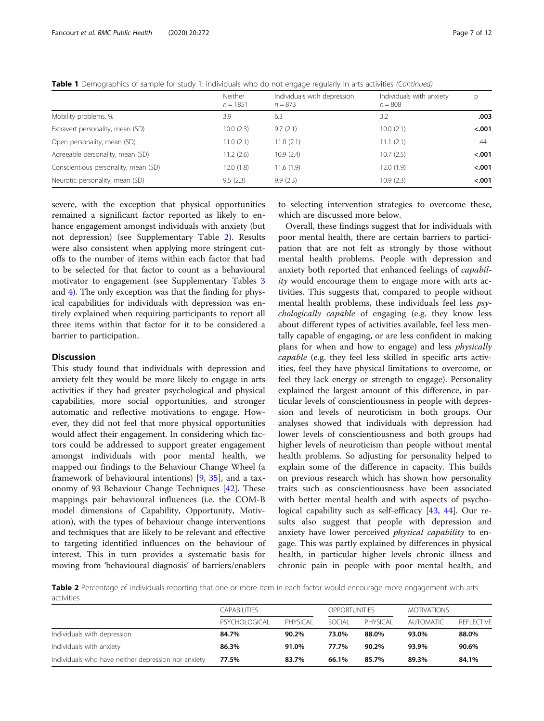<span id="page-6-0"></span>

|  |  |  | Table 1 Demographics of sample for study 1: individuals who do not engage regularly in arts activities (Continued) |
|--|--|--|--------------------------------------------------------------------------------------------------------------------|
|  |  |  |                                                                                                                    |

|                                      | Neither<br>$n = 1851$ | Individuals with depression<br>$n = 873$ | Individuals with anxiety<br>$n = 808$ | p      |
|--------------------------------------|-----------------------|------------------------------------------|---------------------------------------|--------|
| Mobility problems, %                 | 3.9                   | 6.3                                      | 3.2                                   | .003   |
| Extravert personality, mean (SD)     | 10.0(2.3)             | 9.7(2.1)                                 | 10.0(2.1)                             | < .001 |
| Open personality, mean (SD)          | 11.0(2.1)             | 11.0(2.1)                                | 11.1(2.1)                             | .44    |
| Agreeable personality, mean (SD)     | 11.2(2.6)             | 10.9(2.4)                                | 10.7(2.5)                             | < .001 |
| Conscientious personality, mean (SD) | 12.0(1.8)             | 11.6(1.9)                                | 12.0(1.9)                             | < .001 |
| Neurotic personality, mean (SD)      | 9.5(2.3)              | 9.9(2.3)                                 | 10.9(2.3)                             | < .001 |

severe, with the exception that physical opportunities remained a significant factor reported as likely to enhance engagement amongst individuals with anxiety (but not depression) (see Supplementary Table [2\)](#page-10-0). Results were also consistent when applying more stringent cutoffs to the number of items within each factor that had to be selected for that factor to count as a behavioural motivator to engagement (see Supplementary Tables [3](#page-10-0) and [4](#page-10-0)). The only exception was that the finding for physical capabilities for individuals with depression was entirely explained when requiring participants to report all three items within that factor for it to be considered a barrier to participation.

# **Discussion**

This study found that individuals with depression and anxiety felt they would be more likely to engage in arts activities if they had greater psychological and physical capabilities, more social opportunities, and stronger automatic and reflective motivations to engage. However, they did not feel that more physical opportunities would affect their engagement. In considering which factors could be addressed to support greater engagement amongst individuals with poor mental health, we mapped our findings to the Behaviour Change Wheel (a framework of behavioural intentions) [\[9](#page-11-0), [35\]](#page-11-0), and a taxonomy of 93 Behaviour Change Techniques [\[42](#page-11-0)]. These mappings pair behavioural influences (i.e. the COM-B model dimensions of Capability, Opportunity, Motivation), with the types of behaviour change interventions and techniques that are likely to be relevant and effective to targeting identified influences on the behaviour of interest. This in turn provides a systematic basis for moving from 'behavioural diagnosis' of barriers/enablers

to selecting intervention strategies to overcome these, which are discussed more below.

Overall, these findings suggest that for individuals with poor mental health, there are certain barriers to participation that are not felt as strongly by those without mental health problems. People with depression and anxiety both reported that enhanced feelings of capability would encourage them to engage more with arts activities. This suggests that, compared to people without mental health problems, these individuals feel less psychologically capable of engaging (e.g. they know less about different types of activities available, feel less mentally capable of engaging, or are less confident in making plans for when and how to engage) and less physically capable (e.g. they feel less skilled in specific arts activities, feel they have physical limitations to overcome, or feel they lack energy or strength to engage). Personality explained the largest amount of this difference, in particular levels of conscientiousness in people with depression and levels of neuroticism in both groups. Our analyses showed that individuals with depression had lower levels of conscientiousness and both groups had higher levels of neuroticism than people without mental health problems. So adjusting for personality helped to explain some of the difference in capacity. This builds on previous research which has shown how personality traits such as conscientiousness have been associated with better mental health and with aspects of psychological capability such as self-efficacy [[43,](#page-11-0) [44](#page-11-0)]. Our results also suggest that people with depression and anxiety have lower perceived *physical capability* to engage. This was partly explained by differences in physical health, in particular higher levels chronic illness and chronic pain in people with poor mental health, and

Table 2 Percentage of individuals reporting that one or more item in each factor would encourage more engagement with arts activities

|                                                     | <b>CAPABILITIES</b> |          | <b>OPPORTUNITIES</b> |          | <b>MOTIVATIONS</b> |                    |
|-----------------------------------------------------|---------------------|----------|----------------------|----------|--------------------|--------------------|
|                                                     | PSYCHOLOGICAL       | PHYSICAL | SOCIAL               | PHYSICAL | automatic          | <b>REFI ECTIVE</b> |
| Individuals with depression                         | 84.7%               | 90.2%    | 73.0%                | 88.0%    | 93.0%              | 88.0%              |
| Individuals with anxiety                            | 86.3%               | 91.0%    | 77.7%                | 90.2%    | 93.9%              | 90.6%              |
| Individuals who have neither depression nor anxiety | 77.5%               | 83.7%    | 66.1%                | 85.7%    | 89.3%              | 84.1%              |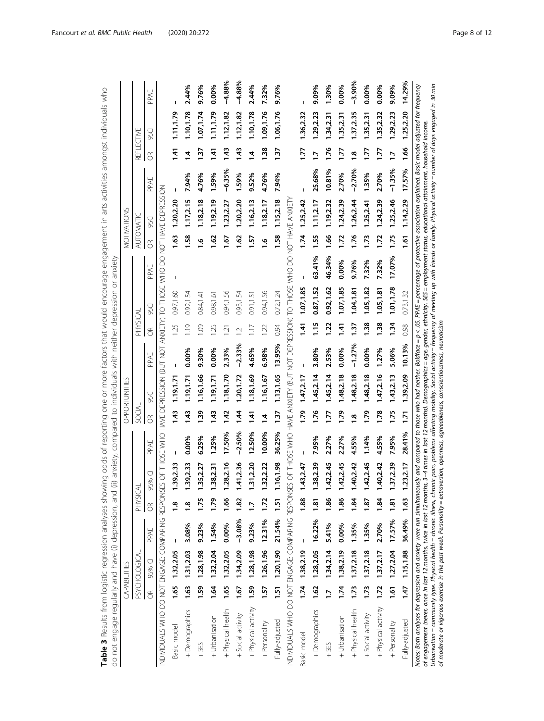|                                                                                                                                                                                                                                                                                                                                                                                                                                                                                                                                                                                                                                                                                                                                                                                                                           |                | CAPABILITIES         |                       |                   |           |          |                | OPPORTUNITIES |          |                          |            |        |               | MOTIVATIONS |          |                 |            |          |
|---------------------------------------------------------------------------------------------------------------------------------------------------------------------------------------------------------------------------------------------------------------------------------------------------------------------------------------------------------------------------------------------------------------------------------------------------------------------------------------------------------------------------------------------------------------------------------------------------------------------------------------------------------------------------------------------------------------------------------------------------------------------------------------------------------------------------|----------------|----------------------|-----------------------|-------------------|-----------|----------|----------------|---------------|----------|--------------------------|------------|--------|---------------|-------------|----------|-----------------|------------|----------|
|                                                                                                                                                                                                                                                                                                                                                                                                                                                                                                                                                                                                                                                                                                                                                                                                                           |                | <b>PSYCHOLOGICAL</b> |                       | PHYSICAL          |           |          | SOCIAL         |               |          | PHYSICAL                 |            |        |               | AUTOMATIC   |          |                 | REFLECTIVE |          |
|                                                                                                                                                                                                                                                                                                                                                                                                                                                                                                                                                                                                                                                                                                                                                                                                                           | $\infty$       | 95% CI               | PPAE                  | $\frac{1}{2}$     | 95% CI    | PPAE     | E              | 95CI          | PPAE     | E                        | 95CI       | PPAE   | OR            | 95CI        | PPAE     | E               | 95CI       | PPAE     |
| NDIVIDUALS WHO DO NOT ENGAGE: COMPARING RESPONSES OF THOSE WHO HAVE DEPRESSION (BUT NOT ANXIETY) TO THOSE WHO DO NOT HAVE DEPRESSION                                                                                                                                                                                                                                                                                                                                                                                                                                                                                                                                                                                                                                                                                      |                |                      |                       |                   |           |          |                |               |          |                          |            |        |               |             |          |                 |            |          |
| Basic model                                                                                                                                                                                                                                                                                                                                                                                                                                                                                                                                                                                                                                                                                                                                                                                                               | 1.65           | 1.32,2.05            |                       | $\frac{8}{1}$     | 39,2.33   |          | 1.43           | 1.19, 1.71    |          | 1.25                     | 0.97,1.60  |        | 3<br>-        | 1.20,2.20   |          | $\frac{4}{4}$   | 1.11,1.79  |          |
| + Demographics                                                                                                                                                                                                                                                                                                                                                                                                                                                                                                                                                                                                                                                                                                                                                                                                            | <b>1.63</b>    | 1.31,2.03            | 3.08%                 | $\frac{8}{1}$     | 39,2.33   | 0.00%    | 1.43           | 1.19, 1.71    | 0.00%    | 119                      | 0.92, 1.54 |        | $\frac{8}{2}$ | 1.17,2.15   | 7.94%    | $\ddot{ }$      | 1.10,1.78  | 2.44%    |
| $-555$                                                                                                                                                                                                                                                                                                                                                                                                                                                                                                                                                                                                                                                                                                                                                                                                                    | <b>SS</b>      | 1.28,1.98            | 9.23%                 | <b>EZ1</b>        | 35,2.27   | 6.25%    | $\frac{39}{2}$ | 1.16,1.66     | 9.30%    | 001                      | 0.84, 1.41 |        | ڢ             | 1.18,2.18   | 4.76%    | $\frac{137}{2}$ | 1.07, 1.74 | 9.76%    |
| + Urbanisation                                                                                                                                                                                                                                                                                                                                                                                                                                                                                                                                                                                                                                                                                                                                                                                                            | 1.64           | 1.32,2.04            | 1.54%                 | م<br>ج            | 38,2.31   | 1.25%    | 1.43           | 1.19, 1.71    | 0.00%    | 1.25                     | 0.98, 1.61 |        | 1.62          | 1.19,2.19   | 1.59%    | $\frac{14}{1}$  | 1.11,1.79  | 0.00%    |
| + Physical health                                                                                                                                                                                                                                                                                                                                                                                                                                                                                                                                                                                                                                                                                                                                                                                                         | 1.65           | 1.32,2.05            | 0.00%                 | <u>ავ</u>         | 28,2.16   | 17.50%   | 1.42           | 1.18,1.70     | 2.33%    | $\bar{\leq}$             | 0.94,1.56  |        | <u>19</u>     | 1.23,2.27   | $-6.35%$ | 143             | 1.12, 1.82 | $-4.88%$ |
| + Social activity                                                                                                                                                                                                                                                                                                                                                                                                                                                                                                                                                                                                                                                                                                                                                                                                         | 1.67           | 1.34,2.09            | $-3.08%$              | <b>SS1</b>        | .41,2.36  | $-2.50%$ | 1.44           | 1.20, 1.72    | $-2.33%$ | $\overline{\phantom{0}}$ | 0.93, 1.54 |        | $\frac{6}{2}$ | 1.20,2.20   | 1.59%    | 143             | 1.12, 1.82 | $-4.88%$ |
| + Physical activity                                                                                                                                                                                                                                                                                                                                                                                                                                                                                                                                                                                                                                                                                                                                                                                                       | 1.59           | 1.28,1.98            | 9.23%                 |                   | 31,2.20   | 12.50%   | 141            | 1.18,1.69     | 4.65%    | ΞI                       | 0.91,1.51  |        | 1.57          | 1.16,2.13   | 9.52%    | $\bar{z}$       | 1.10,1.78  | 2.44%    |
| + Personality                                                                                                                                                                                                                                                                                                                                                                                                                                                                                                                                                                                                                                                                                                                                                                                                             | 1.57           | 1.26,1.96            | 12.31%                | $\overline{5}$    | 32,2.22   | 10.00%   | $\ddot{ }$     | 1.16,1.67     | 6.98%    | 1.22                     | 0.94,1.56  |        | $\frac{6}{1}$ | 1.18,2.17   | 4.76%    | 1.38            | 1.09,1.76  | 7.32%    |
| Fully-adjusted                                                                                                                                                                                                                                                                                                                                                                                                                                                                                                                                                                                                                                                                                                                                                                                                            | $\frac{51}{2}$ | 1.20,1.90 21.54%     |                       | 1.51              | 16,1.98   | 36.25%   | 1.37           | 1.13,1.65     | 13.95%   | 0.94                     | 0.72, 1.24 |        | 1.58          | 1.15,2.18   | 7.94%    | 137             | 1.06,1.76  | 9.76%    |
| NDIVIOUALS WHO DO NOT ENGAGE: COMPARING RESPONSES OF THOSE WHO HAVE ANXIETY (BUT NOT DE DE PRESSION) TO THOSE WHO DO NOT HAVE ANXIETY                                                                                                                                                                                                                                                                                                                                                                                                                                                                                                                                                                                                                                                                                     |                |                      |                       |                   |           |          |                |               |          |                          |            |        |               |             |          |                 |            |          |
| Basic model                                                                                                                                                                                                                                                                                                                                                                                                                                                                                                                                                                                                                                                                                                                                                                                                               |                | 1.74 1.38,2.19       |                       | 1.88              | 43,2.47   |          | 1.79           | 1.47,2.17     |          | 1.41                     | 1.07, 1.85 |        | 1.74          | 1.25, 2.42  |          | I77             | 1.36,2.32  |          |
| + Demographics                                                                                                                                                                                                                                                                                                                                                                                                                                                                                                                                                                                                                                                                                                                                                                                                            | <b>1.62</b>    |                      | 1.28,2.05 16.22% 1.81 |                   | 38,2.39   | 7.95%    | 1.76           | 1.45, 2.14    | 3.80%    | $\frac{5}{11}$           | 0.87, 1.52 | 63.41% | 1.55          | 1.11,2.17   | 25.68%   | $\overline{1}$  | 1.29,2.23  | 9.09%    |
| $+$ SES                                                                                                                                                                                                                                                                                                                                                                                                                                                                                                                                                                                                                                                                                                                                                                                                                   | ⊵              | 1.34,2.14            | 5.41%                 | 86.1              | .42, 2.45 | 2.27%    | 1.77           | 1.45, 2.14    | 2.53%    | 1.22                     | 0.92,1.62  | 46.34% | <b>991</b>    | 1.19,2.32   | 10.81%   | 1.76            | 1.34,2.31  | 1.30%    |
| + Urbanisation                                                                                                                                                                                                                                                                                                                                                                                                                                                                                                                                                                                                                                                                                                                                                                                                            | 1.74           | 1.38,2.19            | 0.00%                 | $\frac{86}{2}$    | .42, 2.45 | 2.27%    | <b>PZ1</b>     | 1,48,2.18     | 0.00%    | $\frac{1}{4}$            | 1.07, 1.85 | 0.00%  | 1.72          | 1.24,2.39   | 2.70%    | 1.77            | 1.35,2.31  | 0.00%    |
| + Physical health                                                                                                                                                                                                                                                                                                                                                                                                                                                                                                                                                                                                                                                                                                                                                                                                         | <b>ES</b>      | 1.37,2.18            | 1.35%                 | $\ddot{a}$        | 40,2.42   | 4.55%    | $\frac{8}{1}$  | 1.48,2.18     | $-1.27%$ | 137                      | 1.04, 1.81 | 9.76%  | 1.76          | 1.26,2.44   | $-2.70%$ | $\frac{8}{1}$   | 1.37,2.35  | $-3.90%$ |
| + Social activity                                                                                                                                                                                                                                                                                                                                                                                                                                                                                                                                                                                                                                                                                                                                                                                                         | r.             | 1.37,2.18            | 1.35%                 | βġ                | .42, 2.45 | 1.14%    | <b>PZ1</b>     | 1.48,2.18     | 0.00%    | 1.38                     | 1.05,1.82  | 7.32%  | <b>1.73</b>   | 1.25, 2.41  | 1.35%    | לכו             | 1.35,2.31  | 0.00%    |
| + Physical activity                                                                                                                                                                                                                                                                                                                                                                                                                                                                                                                                                                                                                                                                                                                                                                                                       | 1.72           | 1.37,2.17            | 2.70%                 | $\frac{3}{4}$     | 40,2.42   | 4.55%    | 1.78           | 1.47,2.16     | 1.27%    | 1.38                     | 1.05, 1.81 | 7.32%  | 1.72          | 1.24,2.39   | 2.70%    | 1.77            | 1.35,2.32  | 0.00%    |
| + Personality                                                                                                                                                                                                                                                                                                                                                                                                                                                                                                                                                                                                                                                                                                                                                                                                             | 1.61           | 1.27,2.04            | 17.57%                | $\overline{1.81}$ | 37,2.39   | 7.95%    | 1.75           | 1,43,2.13     | 5.06%    | 1.34                     | 1.01,1.78  | 17.07% | 1.75          | 1.25,2.46   | $-1.35%$ | $\overline{1}$  | 1.29,2.23  | 9.09%    |
| Fully-adjusted                                                                                                                                                                                                                                                                                                                                                                                                                                                                                                                                                                                                                                                                                                                                                                                                            | 1.47           | 1.15,1.88            | 36.49%                | 1.63              | 23,2.17   | 28.41%   | 1.71           | 1.39,2.09     | 10.13%   | 0.98                     | 0.73,1.32  |        | <u>1.61</u>   | 1.14,2.29   | 17.57%   | 1.66            | 1.25,2.20  | 14.29%   |
| Urbanisation = community type. Physical health = chronic lilness, chronic pain, problems affecting mobility. Social activity = frequency of meeting up with friends or family. Physical activity = number of days engaged in 3<br>Notes: Both analyses for depression and anxiety were run simultaneously and compared to those who had neither. Boldface = p <.05. PPAE = percentage of protective association explained. Basic model adjusted for frequency<br>of engagement (never, once in last 12 months, twice in last 12 months, 3–4 times in last 12 months). Demographics = age, gender, ethnicity. SES = employment status, educational attainment, household income.<br>of moderate or vigorous exercise in the past week. Personality = extraversion, openness, agreeableness, conscientiousness, neuroticism |                |                      |                       |                   |           |          |                |               |          |                          |            |        |               |             |          |                 |            |          |

<span id="page-7-0"></span>Table 3 Results from logistic regression analyses showing odds of reporting one or more factors that would encourage engagement in arts activities amongst individuals who Table 3 Results from logistic regression analyses showing odds of reporting one or more factors that would encourage engagement in arts activities amongst individuals who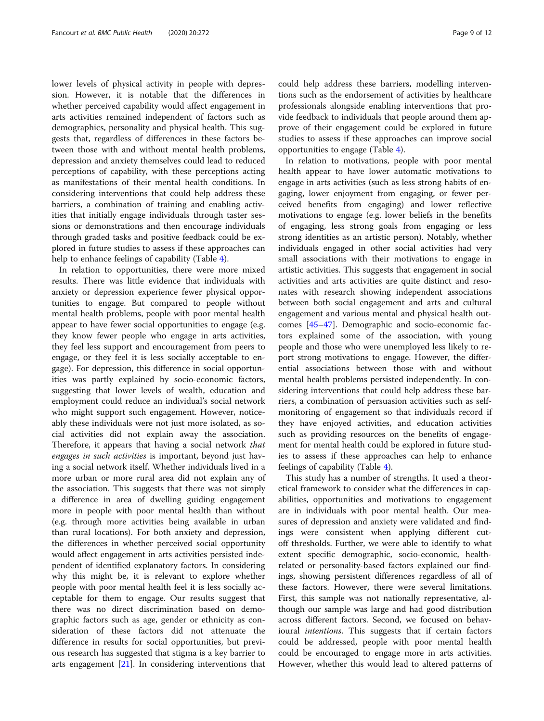lower levels of physical activity in people with depression. However, it is notable that the differences in whether perceived capability would affect engagement in arts activities remained independent of factors such as demographics, personality and physical health. This suggests that, regardless of differences in these factors between those with and without mental health problems, depression and anxiety themselves could lead to reduced perceptions of capability, with these perceptions acting as manifestations of their mental health conditions. In considering interventions that could help address these barriers, a combination of training and enabling activities that initially engage individuals through taster sessions or demonstrations and then encourage individuals through graded tasks and positive feedback could be explored in future studies to assess if these approaches can help to enhance feelings of capability (Table [4](#page-9-0)).

In relation to opportunities, there were more mixed results. There was little evidence that individuals with anxiety or depression experience fewer physical opportunities to engage. But compared to people without mental health problems, people with poor mental health appear to have fewer social opportunities to engage (e.g. they know fewer people who engage in arts activities, they feel less support and encouragement from peers to engage, or they feel it is less socially acceptable to engage). For depression, this difference in social opportunities was partly explained by socio-economic factors, suggesting that lower levels of wealth, education and employment could reduce an individual's social network who might support such engagement. However, noticeably these individuals were not just more isolated, as social activities did not explain away the association. Therefore, it appears that having a social network that engages in such activities is important, beyond just having a social network itself. Whether individuals lived in a more urban or more rural area did not explain any of the association. This suggests that there was not simply a difference in area of dwelling guiding engagement more in people with poor mental health than without (e.g. through more activities being available in urban than rural locations). For both anxiety and depression, the differences in whether perceived social opportunity would affect engagement in arts activities persisted independent of identified explanatory factors. In considering why this might be, it is relevant to explore whether people with poor mental health feel it is less socially acceptable for them to engage. Our results suggest that there was no direct discrimination based on demographic factors such as age, gender or ethnicity as consideration of these factors did not attenuate the difference in results for social opportunities, but previous research has suggested that stigma is a key barrier to arts engagement [[21](#page-11-0)]. In considering interventions that could help address these barriers, modelling interventions such as the endorsement of activities by healthcare professionals alongside enabling interventions that provide feedback to individuals that people around them approve of their engagement could be explored in future studies to assess if these approaches can improve social opportunities to engage (Table [4\)](#page-9-0).

In relation to motivations, people with poor mental health appear to have lower automatic motivations to engage in arts activities (such as less strong habits of engaging, lower enjoyment from engaging, or fewer perceived benefits from engaging) and lower reflective motivations to engage (e.g. lower beliefs in the benefits of engaging, less strong goals from engaging or less strong identities as an artistic person). Notably, whether individuals engaged in other social activities had very small associations with their motivations to engage in artistic activities. This suggests that engagement in social activities and arts activities are quite distinct and resonates with research showing independent associations between both social engagement and arts and cultural engagement and various mental and physical health outcomes [[45](#page-11-0)–[47](#page-11-0)]. Demographic and socio-economic factors explained some of the association, with young people and those who were unemployed less likely to report strong motivations to engage. However, the differential associations between those with and without mental health problems persisted independently. In considering interventions that could help address these barriers, a combination of persuasion activities such as selfmonitoring of engagement so that individuals record if they have enjoyed activities, and education activities such as providing resources on the benefits of engagement for mental health could be explored in future studies to assess if these approaches can help to enhance feelings of capability (Table [4\)](#page-9-0).

This study has a number of strengths. It used a theoretical framework to consider what the differences in capabilities, opportunities and motivations to engagement are in individuals with poor mental health. Our measures of depression and anxiety were validated and findings were consistent when applying different cutoff thresholds. Further, we were able to identify to what extent specific demographic, socio-economic, healthrelated or personality-based factors explained our findings, showing persistent differences regardless of all of these factors. However, there were several limitations. First, this sample was not nationally representative, although our sample was large and had good distribution across different factors. Second, we focused on behavioural *intentions*. This suggests that if certain factors could be addressed, people with poor mental health could be encouraged to engage more in arts activities. However, whether this would lead to altered patterns of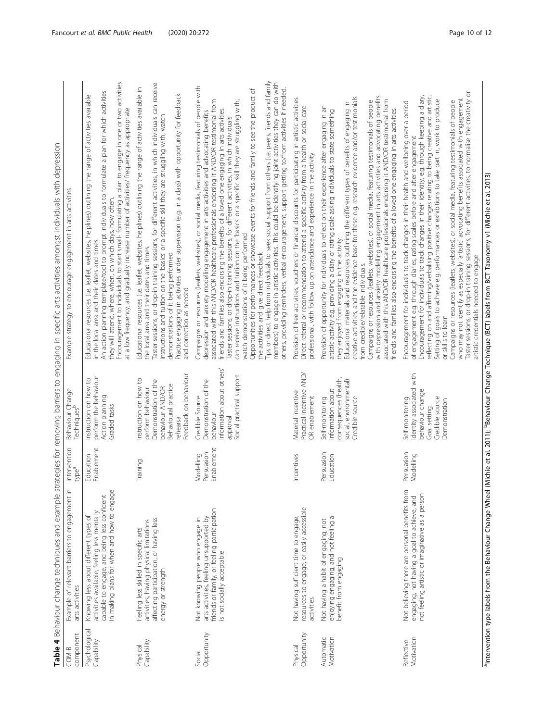<span id="page-9-0"></span>

| component<br>$COM-B$        | Example of relevant barriers to engagement in<br>arts activities                                                                                                                  | Intervention<br>type <sup>a</sup>     | Behaviour Change<br>Techniques <sup>b</sup>                                                                                                          | Example strategy to encourage engagement in arts activities                                                                                                                                                                                                                                                                                                                                                                                                                                                                                                                                                                                                                                                                                                                                                                                                                                                                                                                                                                                                                                                           |
|-----------------------------|-----------------------------------------------------------------------------------------------------------------------------------------------------------------------------------|---------------------------------------|------------------------------------------------------------------------------------------------------------------------------------------------------|-----------------------------------------------------------------------------------------------------------------------------------------------------------------------------------------------------------------------------------------------------------------------------------------------------------------------------------------------------------------------------------------------------------------------------------------------------------------------------------------------------------------------------------------------------------------------------------------------------------------------------------------------------------------------------------------------------------------------------------------------------------------------------------------------------------------------------------------------------------------------------------------------------------------------------------------------------------------------------------------------------------------------------------------------------------------------------------------------------------------------|
| Psychological<br>Capability | capable to engage, and being less confident<br>in making plans for when and how to engage<br>activities available, feeling less mentally<br>Knowing less about different types of | Enablement<br>Education               | perform the behaviour<br>Instruction on how to<br>Action planning<br>Graded tasks                                                                    | Encouragement to individuals to start small- formulating a plan to engage in one or two activities<br>An action planning template/tool to prompt individuals to formulate a plan for which activities<br>Educational resources (i.e. leaflet, websites, helplines) outlining the range of activities available<br>at a low frequency, and gradually increase number of activities/ frequency as appropriate<br>they will attend, where, when, on which days, how often.<br>in the local area and their dates and times.                                                                                                                                                                                                                                                                                                                                                                                                                                                                                                                                                                                               |
| Capability<br>Physical      | affecting participation, or having less<br>activities, having physical limitations<br>Feeling less skilled in specific arts<br>energy or strength                                 | Training                              | Feedback on behaviour<br>Instruction on how to<br>Demonstration of the<br>Behavioural practice<br>behaviour AND/OR<br>perform behaviour<br>rehearsal | Taster sessions, or drop-in training sessions, for different activities, in which individuals can receive<br>Educational resources (i.e. leaflet, websites, helplines) outlining the range of activities available in<br>Practice engaging in activities under supervision (e.g. in a class) with opportunity for feedback<br>instructions and tuition on the 'basics' or a specific skill they are struggling with, watch<br>the local area and their dates and times.<br>demonstrations of it being performed<br>and correction as needed                                                                                                                                                                                                                                                                                                                                                                                                                                                                                                                                                                           |
| Opportunity<br>Social       | friends or family, or feeling participation<br>arts activities, feeling unsupported by<br>Not knowing people who engage in<br>is not socially acceptable                          | Enablement<br>Persuasion<br>Modelling | Information about others'<br>Social practical support<br>Demonstration of the<br>Credible Source<br>behaviour<br>approval                            | Tips or direct help from individuals to seek social support from others (i.e. peers, friends and family<br>members) to engage in artistic activities. This could be identifying joint activities they can do with<br>Campaigns or resources (leaflets, websites), or social media, featuring testimonials of people with<br>others, providing reminders, verbal encouragement, support getting to/from activities if needed.<br>Opportunities for performances or showcase events for friends and family to see the product of<br>associated with this AND/OR healthcare professionals endorsing it AND/OR testimonial from<br>can receive instructions and tuition on the 'basics' or a specific skill they are struggling with,<br>friends and families also endorsing the benefits of a loved one engaging in arts activities.<br>Taster sessions, or drop-in training sessions, for different activities, in which individuals<br>depression and anxiety modelling engagement in arts activities and advocating benefits<br>watch demonstrations of it being performed<br>the activities and give direct feedback |
| Opportunity<br>Physical     | resources to engage, or easily accessible<br>Not having sufficient time to engage,<br>activities                                                                                  | Incentives                            | Practical incentive AND/<br>Material incentive<br>OR enablement                                                                                      | Provision of free activities, vouchers or financial discounts for participating in artistic activities<br>Direct referral or recommendation to attend a specific activity from a health or social care<br>professional, with follow up on attendance and experience in the activity                                                                                                                                                                                                                                                                                                                                                                                                                                                                                                                                                                                                                                                                                                                                                                                                                                   |
| Motivation<br>Automatic     | enjoying engaging, and not feeling a<br>Not having a habit of engaging, not<br>benefit from engaging                                                                              | Persuasion<br>Education               | consequences (health,<br>social, environmental)<br>Information about<br>Self-monitoring<br>Credible source                                           | with depression and anxiety modelling engagement in arts activities and advocating benefits<br>creative activities, and the evidence base for these e.g. research evidence and/or testimonials<br>associated with this AND/OR healthcare professionals endorsing it AND/OR testimonial from<br>Campaigns or resources (leaflets, websites), or social media, featuring testimonials of people<br>Educational materials and resources outlining the different types of benefits of engaging in<br>Provision of opportunity for individuals to reflect on their experience after engaging in an<br>friends and families also endorsing the benefits of a loved one engaging in arts activities.<br>artistic activity e.g. providing a diary or rating scale asking individuals to state something<br>they enjoyed from engaging in the activity.<br>from credible/relatable individuals.                                                                                                                                                                                                                                |
| Motivation<br>Reflective    | Not believing there are personal benefits from<br>not feeling artistic or imaginative as a person<br>engaging, not having a goal to achieve, and                                  | Persuasion<br>Modelling               | Identity associated with<br>behaviour change<br>Credible source<br>Self-monitoring<br>Demonstration<br>Goal setting                                  | Taster sessions, or drop-in training sessions, for different activities, to normalise the creativity or<br>Encouragement for individuals to track changes in their identity, e.g. through keeping a diary,<br>reflecting on and affirming/verbalising positive changes relating to being creative and artistic.<br>who may not identify as especially 'artistic' advocating benefits associated with engagement<br>Setting of goals to achieve e.g. performances or exhibitions to take part in, work to produce<br>Campaigns or resources (leaflets, websites), or social media, featuring testimonials of people<br>Encouragement for individuals to track changes in their health and wellbeing over a period<br>of engagement e.g. through diaries, rating scales before and after engagement<br>artistic credentials needed to engage<br>or skills to learn                                                                                                                                                                                                                                                      |
|                             |                                                                                                                                                                                   |                                       |                                                                                                                                                      | <sup>a</sup> ntervention type labels from the Behaviour Change Wheel (Michie et al. 2011); <sup>b</sup> Behaviour Change Technique (BCT) labels from BCT Taxonomy v1 (Michie et al. 2013)                                                                                                                                                                                                                                                                                                                                                                                                                                                                                                                                                                                                                                                                                                                                                                                                                                                                                                                             |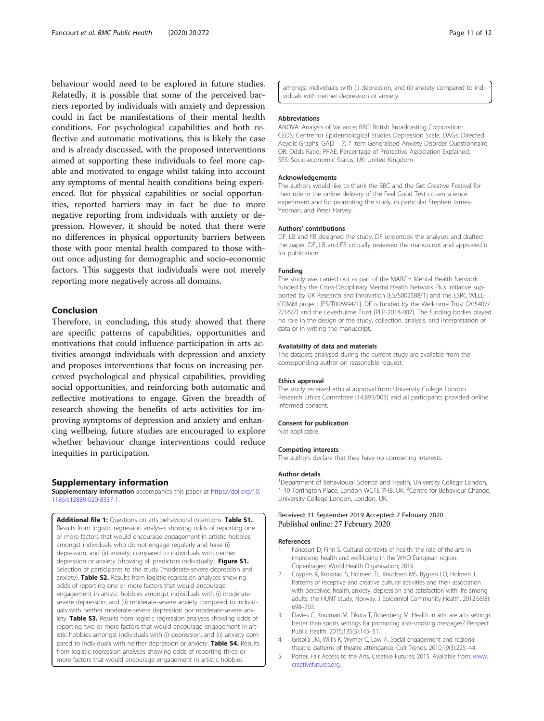<span id="page-10-0"></span>behaviour would need to be explored in future studies. Relatedly, it is possible that some of the perceived barriers reported by individuals with anxiety and depression could in fact be manifestations of their mental health conditions. For psychological capabilities and both reflective and automatic motivations, this is likely the case and is already discussed, with the proposed interventions aimed at supporting these individuals to feel more capable and motivated to engage whilst taking into account any symptoms of mental health conditions being experienced. But for physical capabilities or social opportunities, reported barriers may in fact be due to more negative reporting from individuals with anxiety or depression. However, it should be noted that there were no differences in physical opportunity barriers between those with poor mental health compared to those without once adjusting for demographic and socio-economic factors. This suggests that individuals were not merely reporting more negatively across all domains.

# Conclusion

Therefore, in concluding, this study showed that there are specific patterns of capabilities, opportunities and motivations that could influence participation in arts activities amongst individuals with depression and anxiety and proposes interventions that focus on increasing perceived psychological and physical capabilities, providing social opportunities, and reinforcing both automatic and reflective motivations to engage. Given the breadth of research showing the benefits of arts activities for improving symptoms of depression and anxiety and enhancing wellbeing, future studies are encouraged to explore whether behaviour change interventions could reduce inequities in participation.

#### Supplementary information

Supplementary information accompanies this paper at [https://doi.org/10.](https://doi.org/10.1186/s12889-020-8337-1) [1186/s12889-020-8337-1.](https://doi.org/10.1186/s12889-020-8337-1)

Additional file 1: Questions on arts behavioural intentions. Table S1. Results from logistic regression analyses showing odds of reporting one or more factors that would encourage engagement in artistic hobbies amongst individuals who do not engage regularly and have (i) depression, and (ii) anxiety, compared to individuals with neither depression or anxiety [showing all predictors individually]. Figure S1. Selection of participants to the study (moderate-severe depression and anxiety). Table S2. Results from logistic regression analyses showing odds of reporting one or more factors that would encourage engagement in artistic hobbies amongst individuals with (i) moderatesevere depression, and (ii) moderate-severe anxiety compared to individuals with neither moderate-severe depression nor moderate-severe anxiety. Table S3. Results from logistic regression analyses showing odds of reporting two or more factors that would encourage engagement in artistic hobbies amongst individuals with (i) depression, and (ii) anxiety compared to individuals with neither depression or anxiety. Table S4. Results from logistic regression analyses showing odds of reporting three or more factors that would encourage engagement in artistic hobbies

amongst individuals with (i) depression, and (ii) anxiety compared to individuals with neither depression or anxiety.

#### **Abbreviations**

ANOVA: Analysis of Variance; BBC: British Broadcasting Corporation; CEDS: Centre for Epidemiological Studies Depression Scale; DAGs: Directed Acyclic Graphs; GAD – 7: 7 item Generalised Anxiety Disorder Questionnaire; OR: Odds Ratio; PPAE: Percentage of Protective Association Explained; SES: Socio-economic Status; UK: United Kingdom

#### Acknowledgements

The authors would like to thank the BBC and the Get Creative Festival for their role in the online delivery of the Feel Good Test citizen science experiment and for promoting the study, in particular Stephen James-Yeoman, and Peter Harvey.

#### Authors' contributions

DF, LB and FB designed the study. DF undertook the analyses and drafted the paper. DF, LB and FB critically reviewed the manuscript and approved it for publication.

#### Funding

The study was carried out as part of the MARCH Mental Health Network funded by the Cross-Disciplinary Mental Health Network Plus initiative supported by UK Research and Innovation [ES/S002588/1] and the ESRC WELL-COMM project [ES/T006994/1]. DF is funded by the Wellcome Trust [205407/ Z/16/Z] and the Leverhulme Trust [PLP-2018-007]. The funding bodies played no role in the design of the study, collection, analysis, and interpretation of data or in writing the manuscript.

#### Availability of data and materials

The datasets analysed during the current study are available from the corresponding author on reasonable request.

#### Ethics approval

The study received ethical approval from University College London Research Ethics Committee [14,895/003] and all participants provided online informed consent.

#### Consent for publication

Not applicable.

#### Competing interests

The authors declare that they have no competing interests.

#### Author details

<sup>1</sup>Department of Behavioural Science and Health, University College London 1-19 Torrington Place, London WC1E 7HB, UK. <sup>2</sup>Centre for Behaviour Change, University College London, London, UK.

# Received: 11 September 2019 Accepted: 7 February 2020 Published online: 27 February 2020

#### References

- Fancourt D, Finn S. Cultural contexts of health: the role of the arts in improving health and well-being in the WHO European region. Copenhagen: World Health Organisation; 2019.
- 2. Cuypers K, Krokstad S, Holmen TL, Knudtsen MS, Bygren LO, Holmen J. Patterns of receptive and creative cultural activities and their association with perceived health, anxiety, depression and satisfaction with life among adults: the HUNT study, Norway. J Epidemiol Community Health. 2012;66(8): 698–703.
- 3. Davies C, Knuiman M, Pikora T, Rosenberg M. Health in arts: are arts settings better than sports settings for promoting anti-smoking messages? Perspect Public Health. 2015;135(3):145–51.
- 4. Grisolía JM, Willis K, Wymer C, Law A. Social engagement and regional theatre: patterns of theatre attendance. Cult Trends. 2010;19(3):225–44.
- 5. Potter. Fair Access to the Arts. Creative Futures; 2015. Available from: [www.](http://www.creativefutures.org) [creativefutures.org](http://www.creativefutures.org).